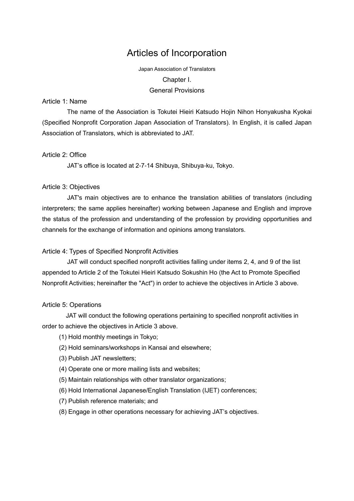# Articles of Incorporation

Japan Association of Translators Chapter I. General Provisions

### Article 1: Name

The name of the Association is Tokutei Hieiri Katsudo Hojin Nihon Honyakusha Kyokai (Specified Nonprofit Corporation Japan Association of Translators). In English, it is called Japan Association of Translators, which is abbreviated to JAT.

### Article 2: Office

JAT's office is located at 2-7-14 Shibuya, Shibuya-ku, Tokyo.

#### Article 3: Objectives

JAT's main objectives are to enhance the translation abilities of translators (including interpreters; the same applies hereinafter) working between Japanese and English and improve the status of the profession and understanding of the profession by providing opportunities and channels for the exchange of information and opinions among translators.

#### Article 4: Types of Specified Nonprofit Activities

JAT will conduct specified nonprofit activities falling under items 2, 4, and 9 of the list appended to Article 2 of the Tokutei Hieiri Katsudo Sokushin Ho (the Act to Promote Specified Nonprofit Activities; hereinafter the "Act") in order to achieve the objectives in Article 3 above.

#### Article 5: Operations

JAT will conduct the following operations pertaining to specified nonprofit activities in order to achieve the objectives in Article 3 above.

- (1) Hold monthly meetings in Tokyo;
- (2) Hold seminars/workshops in Kansai and elsewhere;
- (3) Publish JAT newsletters;
- (4) Operate one or more mailing lists and websites;
- (5) Maintain relationships with other translator organizations;
- (6) Hold International Japanese/English Translation (IJET) conferences;
- (7) Publish reference materials; and
- (8) Engage in other operations necessary for achieving JAT's objectives.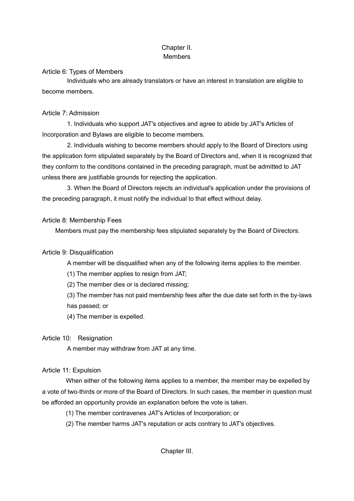# Chapter II. **Members**

### Article 6: Types of Members

Individuals who are already translators or have an interest in translation are eligible to become members.

# Article 7: Admission

1. Individuals who support JAT's objectives and agree to abide by JAT's Articles of Incorporation and Bylaws are eligible to become members.

2. Individuals wishing to become members should apply to the Board of Directors using the application form stipulated separately by the Board of Directors and, when it is recognized that they conform to the conditions contained in the preceding paragraph, must be admitted to JAT unless there are justifiable grounds for rejecting the application.

3. When the Board of Directors rejects an individual's application under the provisions of the preceding paragraph, it must notify the individual to that effect without delay.

# Article 8: Membership Fees

Members must pay the membership fees stipulated separately by the Board of Directors.

# Article 9: Disqualification

A member will be disqualified when any of the following items applies to the member.

(1) The member applies to resign from JAT;

(2) The member dies or is declared missing;

(3) The member has not paid membership fees after the due date set forth in the by-laws has passed; or

(4) The member is expelled.

# Article 10: Resignation

A member may withdraw from JAT at any time.

# Article 11: Expulsion

When either of the following items applies to a member, the member may be expelled by a vote of two-thirds or more of the Board of Directors. In such cases, the member in question must be afforded an opportunity provide an explanation before the vote is taken.

- (1) The member contravenes JAT's Articles of Incorporation; or
- (2) The member harms JAT's reputation or acts contrary to JAT's objectives.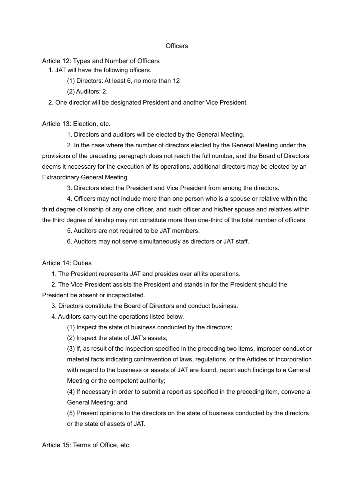#### **Officers**

Article 12: Types and Number of Officers

1. JAT will have the following officers.

- (1) Directors: At least 6, no more than 12
- (2) Auditors: 2.

2. One director will be designated President and another Vice President.

Article 13: Election, etc.

1. Directors and auditors will be elected by the General Meeting.

2. In the case where the number of directors elected by the General Meeting under the provisions of the preceding paragraph does not reach the full number, and the Board of Directors deems it necessary for the execution of its operations, additional directors may be elected by an Extraordinary General Meeting.

3. Directors elect the President and Vice President from among the directors.

4. Officers may not include more than one person who is a spouse or relative within the third degree of kinship of any one officer, and such officer and his/her spouse and relatives within the third degree of kinship may not constitute more than one-third of the total number of officers.

5. Auditors are not required to be JAT members.

6. Auditors may not serve simultaneously as directors or JAT staff.

Article 14: Duties

1. The President represents JAT and presides over all its operations.

2. The Vice President assists the President and stands in for the President should the President be absent or incapacitated.

3. Directors constitute the Board of Directors and conduct business.

4. Auditors carry out the operations listed below.

(1) Inspect the state of business conducted by the directors;

(2) Inspect the state of JAT's assets;

(3) If, as result of the inspection specified in the preceding two items, improper conduct or material facts indicating contravention of laws, regulations, or the Articles of Incorporation with regard to the business or assets of JAT are found, report such findings to a General Meeting or the competent authority;

(4) If necessary in order to submit a report as specified in the preceding item, convene a General Meeting; and

(5) Present opinions to the directors on the state of business conducted by the directors or the state of assets of JAT.

Article 15: Terms of Office, etc.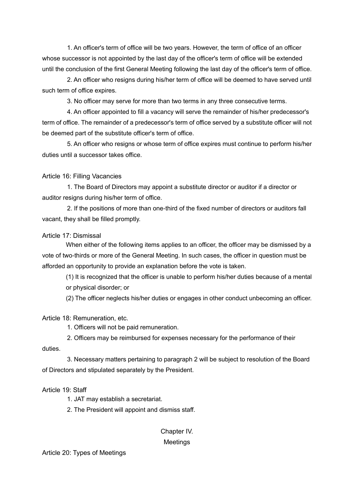1. An officer's term of office will be two years. However, the term of office of an officer whose successor is not appointed by the last day of the officer's term of office will be extended until the conclusion of the first General Meeting following the last day of the officer's term of office.

2. An officer who resigns during his/her term of office will be deemed to have served until such term of office expires.

3. No officer may serve for more than two terms in any three consecutive terms.

4. An officer appointed to fill a vacancy will serve the remainder of his/her predecessor's term of office. The remainder of a predecessor's term of office served by a substitute officer will not be deemed part of the substitute officer's term of office.

5. An officer who resigns or whose term of office expires must continue to perform his/her duties until a successor takes office.

Article 16: Filling Vacancies

1. The Board of Directors may appoint a substitute director or auditor if a director or auditor resigns during his/her term of office.

2. If the positions of more than one-third of the fixed number of directors or auditors fall vacant, they shall be filled promptly.

Article 17: Dismissal

When either of the following items applies to an officer, the officer may be dismissed by a vote of two-thirds or more of the General Meeting. In such cases, the officer in question must be afforded an opportunity to provide an explanation before the vote is taken.

(1) It is recognized that the officer is unable to perform his/her duties because of a mental or physical disorder; or

(2) The officer neglects his/her duties or engages in other conduct unbecoming an officer.

Article 18: Remuneration, etc.

1. Officers will not be paid remuneration.

2. Officers may be reimbursed for expenses necessary for the performance of their duties.

3. Necessary matters pertaining to paragraph 2 will be subject to resolution of the Board of Directors and stipulated separately by the President.

Article 19: Staff

1. JAT may establish a secretariat.

2. The President will appoint and dismiss staff.

Chapter IV.

Meetings

Article 20: Types of Meetings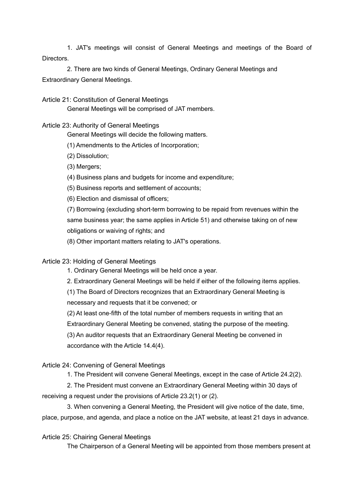1. JAT's meetings will consist of General Meetings and meetings of the Board of Directors.

2. There are two kinds of General Meetings, Ordinary General Meetings and Extraordinary General Meetings.

Article 21: Constitution of General Meetings

General Meetings will be comprised of JAT members.

#### Article 23: Authority of General Meetings

General Meetings will decide the following matters.

(1) Amendments to the Articles of Incorporation;

(2) Dissolution;

(3) Mergers;

(4) Business plans and budgets for income and expenditure;

(5) Business reports and settlement of accounts;

(6) Election and dismissal of officers;

(7) Borrowing (excluding short-term borrowing to be repaid from revenues within the same business year; the same applies in Article 51) and otherwise taking on of new obligations or waiving of rights; and

(8) Other important matters relating to JAT's operations.

### Article 23: Holding of General Meetings

1. Ordinary General Meetings will be held once a year.

2. Extraordinary General Meetings will be held if either of the following items applies.

(1) The Board of Directors recognizes that an Extraordinary General Meeting is necessary and requests that it be convened; or

(2) At least one-fifth of the total number of members requests in writing that an Extraordinary General Meeting be convened, stating the purpose of the meeting. (3) An auditor requests that an Extraordinary General Meeting be convened in accordance with the Article 14.4(4).

### Article 24: Convening of General Meetings

1. The President will convene General Meetings, except in the case of Article 24.2(2).

2. The President must convene an Extraordinary General Meeting within 30 days of receiving a request under the provisions of Article 23.2(1) or (2).

3. When convening a General Meeting, the President will give notice of the date, time, place, purpose, and agenda, and place a notice on the JAT website, at least 21 days in advance.

Article 25: Chairing General Meetings

The Chairperson of a General Meeting will be appointed from those members present at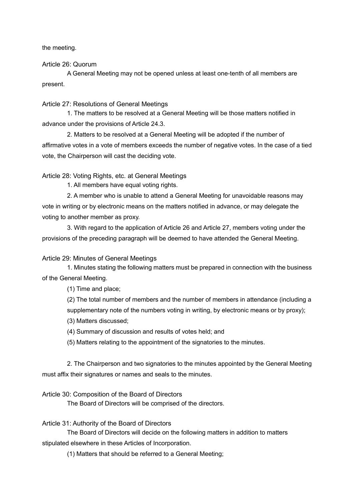the meeting.

Article 26: Quorum

A General Meeting may not be opened unless at least one-tenth of all members are present.

Article 27: Resolutions of General Meetings

1. The matters to be resolved at a General Meeting will be those matters notified in advance under the provisions of Article 24.3.

2. Matters to be resolved at a General Meeting will be adopted if the number of affirmative votes in a vote of members exceeds the number of negative votes. In the case of a tied vote, the Chairperson will cast the deciding vote.

Article 28: Voting Rights, etc. at General Meetings

1. All members have equal voting rights.

2. A member who is unable to attend a General Meeting for unavoidable reasons may vote in writing or by electronic means on the matters notified in advance, or may delegate the voting to another member as proxy.

3. With regard to the application of Article 26 and Article 27, members voting under the provisions of the preceding paragraph will be deemed to have attended the General Meeting.

Article 29: Minutes of General Meetings

1. Minutes stating the following matters must be prepared in connection with the business of the General Meeting.

(1) Time and place;

(2) The total number of members and the number of members in attendance (including a supplementary note of the numbers voting in writing, by electronic means or by proxy);

(3) Matters discussed;

(4) Summary of discussion and results of votes held; and

(5) Matters relating to the appointment of the signatories to the minutes.

2. The Chairperson and two signatories to the minutes appointed by the General Meeting must affix their signatures or names and seals to the minutes.

Article 30: Composition of the Board of Directors

The Board of Directors will be comprised of the directors.

Article 31: Authority of the Board of Directors

The Board of Directors will decide on the following matters in addition to matters stipulated elsewhere in these Articles of Incorporation.

(1) Matters that should be referred to a General Meeting;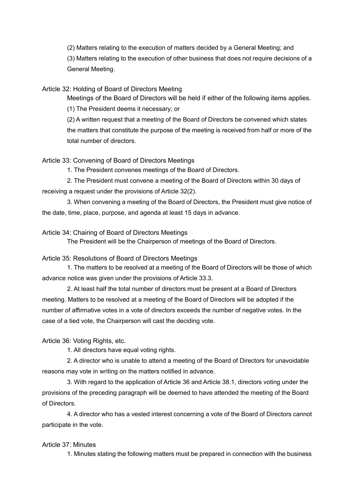(2) Matters relating to the execution of matters decided by a General Meeting; and

(3) Matters relating to the execution of other business that does not require decisions of a General Meeting.

Article 32: Holding of Board of Directors Meeting

Meetings of the Board of Directors will be held if either of the following items applies.

(1) The President deems it necessary; or

(2) A written request that a meeting of the Board of Directors be convened which states the matters that constitute the purpose of the meeting is received from half or more of the total number of directors.

# Article 33: Convening of Board of Directors Meetings

1. The President convenes meetings of the Board of Directors.

2. The President must convene a meeting of the Board of Directors within 30 days of receiving a request under the provisions of Article 32(2).

3. When convening a meeting of the Board of Directors, the President must give notice of the date, time, place, purpose, and agenda at least 15 days in advance.

### Article 34: Chairing of Board of Directors Meetings

The President will be the Chairperson of meetings of the Board of Directors.

Article 35: Resolutions of Board of Directors Meetings

1. The matters to be resolved at a meeting of the Board of Directors will be those of which advance notice was given under the provisions of Article 33.3.

2. At least half the total number of directors must be present at a Board of Directors meeting. Matters to be resolved at a meeting of the Board of Directors will be adopted if the number of affirmative votes in a vote of directors exceeds the number of negative votes. In the case of a tied vote, the Chairperson will cast the deciding vote.

Article 36: Voting Rights, etc.

1. All directors have equal voting rights.

2. A director who is unable to attend a meeting of the Board of Directors for unavoidable reasons may vote in writing on the matters notified in advance.

3. With regard to the application of Article 36 and Article 38.1, directors voting under the provisions of the preceding paragraph will be deemed to have attended the meeting of the Board of Directors.

4. A director who has a vested interest concerning a vote of the Board of Directors cannot participate in the vote.

# Article 37: Minutes

1. Minutes stating the following matters must be prepared in connection with the business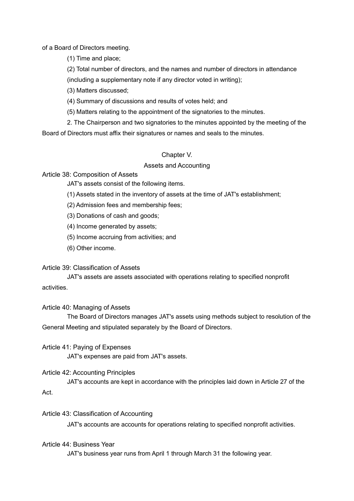of a Board of Directors meeting.

(1) Time and place;

(2) Total number of directors, and the names and number of directors in attendance

(including a supplementary note if any director voted in writing);

(3) Matters discussed;

(4) Summary of discussions and results of votes held; and

(5) Matters relating to the appointment of the signatories to the minutes.

2. The Chairperson and two signatories to the minutes appointed by the meeting of the

Board of Directors must affix their signatures or names and seals to the minutes.

# Chapter V.

# Assets and Accounting

Article 38: Composition of Assets

JAT's assets consist of the following items.

(1) Assets stated in the inventory of assets at the time of JAT's establishment;

(2) Admission fees and membership fees;

(3) Donations of cash and goods;

(4) Income generated by assets;

(5) Income accruing from activities; and

(6) Other income.

### Article 39: Classification of Assets

JAT's assets are assets associated with operations relating to specified nonprofit activities.

### Article 40: Managing of Assets

The Board of Directors manages JAT's assets using methods subject to resolution of the General Meeting and stipulated separately by the Board of Directors.

Article 41: Paying of Expenses

JAT's expenses are paid from JAT's assets.

# Article 42: Accounting Principles

JAT's accounts are kept in accordance with the principles laid down in Article 27 of the Act.

### Article 43: Classification of Accounting

JAT's accounts are accounts for operations relating to specified nonprofit activities.

### Article 44: Business Year

JAT's business year runs from April 1 through March 31 the following year.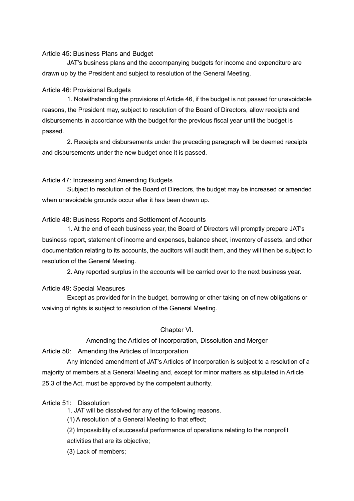#### Article 45: Business Plans and Budget

JAT's business plans and the accompanying budgets for income and expenditure are drawn up by the President and subject to resolution of the General Meeting.

### Article 46: Provisional Budgets

1. Notwithstanding the provisions of Article 46, if the budget is not passed for unavoidable reasons, the President may, subject to resolution of the Board of Directors, allow receipts and disbursements in accordance with the budget for the previous fiscal year until the budget is passed.

2. Receipts and disbursements under the preceding paragraph will be deemed receipts and disbursements under the new budget once it is passed.

### Article 47: Increasing and Amending Budgets

Subject to resolution of the Board of Directors, the budget may be increased or amended when unavoidable grounds occur after it has been drawn up.

### Article 48: Business Reports and Settlement of Accounts

1. At the end of each business year, the Board of Directors will promptly prepare JAT's business report, statement of income and expenses, balance sheet, inventory of assets, and other documentation relating to its accounts, the auditors will audit them, and they will then be subject to resolution of the General Meeting.

2. Any reported surplus in the accounts will be carried over to the next business year.

### Article 49: Special Measures

Except as provided for in the budget, borrowing or other taking on of new obligations or waiving of rights is subject to resolution of the General Meeting.

# Chapter VI.

### Amending the Articles of Incorporation, Dissolution and Merger

Article 50: Amending the Articles of Incorporation

Any intended amendment of JAT's Articles of Incorporation is subject to a resolution of a majority of members at a General Meeting and, except for minor matters as stipulated in Article 25.3 of the Act, must be approved by the competent authority.

# Article 51: Dissolution

1. JAT will be dissolved for any of the following reasons.

(1) A resolution of a General Meeting to that effect;

(2) Impossibility of successful performance of operations relating to the nonprofit activities that are its objective;

(3) Lack of members;